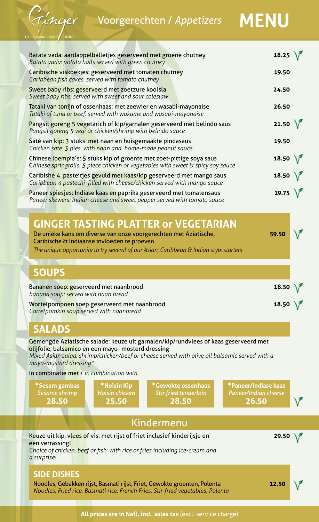Voorgerechten / *Appetizers* **MENU**



| Batata vada: aardappelballetjes geserveerd met groene chutney<br>Batata vada: potato balls served with green chutney                                                                                                                                                 | 18.25 $\bigwedge$ |  |
|----------------------------------------------------------------------------------------------------------------------------------------------------------------------------------------------------------------------------------------------------------------------|-------------------|--|
| Caribische viskoekjes: geserveerd met tomaten chutney<br>Caribbean fish cakes: served with tomato chutney                                                                                                                                                            | 19.50             |  |
| Sweet baby ribs: geserveerd met zoetzure koolsla<br>Sweet baby ribs: served with sweet and sour coleslaw                                                                                                                                                             | 24.50             |  |
| Tataki van tonijn of ossenhaas: met zeewier en wasabi-mayonaise<br>Tataki of tuna or beef: served with wakame and wasabi-mayonaise                                                                                                                                   | 26.50             |  |
| Pangsit goreng 5 vegetarich of kip/garnalen geserveerd met belindo saus<br>Pangsit goreng 5 vegi or chicken/shrimp with belindo sauce                                                                                                                                | 21.50 $\sqrt{ }$  |  |
| Saté van kip: 3 stuks met naan en huisgemaakte pindasaus<br>Chicken sate: 3 pies with naan and home-made peanut sauce                                                                                                                                                | 19.50             |  |
| Chinese loempia's: 5 stuks kip of groente met zoet-pittige soya saus<br>Chinese springrolls: 5 piece chicken or vegetables with sweet & spicy soy sauce                                                                                                              | 18.50 $\sqrt{ }$  |  |
| Caribishe 4 pasteitjes gevuld met kaas/kip geserveerd met mango saus<br>Caribbean 4 pastechi filled with cheese/chicken served with mango sauce                                                                                                                      | 18.50 $\sqrt{ }$  |  |
| Paneer spiesjes: Indiase kaas en paprika geserveerd met tomatensaus<br>Paneer skewers: Indian cheese and sweet pepper served with tomato sauce                                                                                                                       | 19.75 $\sqrt{ }$  |  |
| <b>GINGER TASTING PLATTER or VEGETARIAN</b>                                                                                                                                                                                                                          |                   |  |
| De unieke kans om diverse van onze voorgerechten met Aziatische,<br>Caribische & Indiaanse invloeden te proeven<br>The unique opportunity to try several of our Asian, Caribbean & Indian style starters                                                             | 59.50             |  |
|                                                                                                                                                                                                                                                                      |                   |  |
| <b>SOUPS</b>                                                                                                                                                                                                                                                         |                   |  |
| Bananen soep: geserveerd met naanbrood<br>banana soup: served with naan bread                                                                                                                                                                                        | 18.50 $\sqrt{ }$  |  |
| Wortelpompoen soep geserveerd met naanbrood<br>Carretpomkin soup served with naanbread                                                                                                                                                                               | 18.50 $\setminus$ |  |
| <b>SALADS</b>                                                                                                                                                                                                                                                        |                   |  |
| Gemengde Aziatische salade: keuze uit garnalen/kip/rundvlees of kaas geserveerd met<br>olijfolie, balsamico en een mayo- mosterd dressing<br>Mixed Asian salad: shrimp/chicken/beef or cheese served with olive oil balsamic served with a<br>mayo-mustard dressing* |                   |  |
| In combinatie met / in combination with                                                                                                                                                                                                                              |                   |  |
| *Gewokte ossenhaas<br>*Paneer/Indiase kaas<br>*Hoisin Kip<br>*Sesam gambas<br><b>Hoisin chicken</b><br><b>Paneer/Indian cheese</b><br>Sesame shrimp<br>Stir fried tenderloin<br>28.50<br>25.50<br>28.50<br>26.50                                                     |                   |  |
| Kindermenu                                                                                                                                                                                                                                                           |                   |  |
| Keuze uit kip, vlees of vis: met rijst of friet inclusief kinderijsje en<br>een verrassing!<br>Choice of chicken, beef or fish: with rice or fries including ice-cream and<br>a surprise!                                                                            | 29.50             |  |
| <b>SIDE DISHES</b><br>Noodles, Gebakken rijst, Basmati rijst, Friet, Gewokte groenten, Polenta<br>Noodles, Fried rice, Basmati rice, French Fries, Stir-fried vegetables, Polenta                                                                                    | 12.50             |  |

**All prices are in Nafl, incl. sales tax** (excl. service charge)